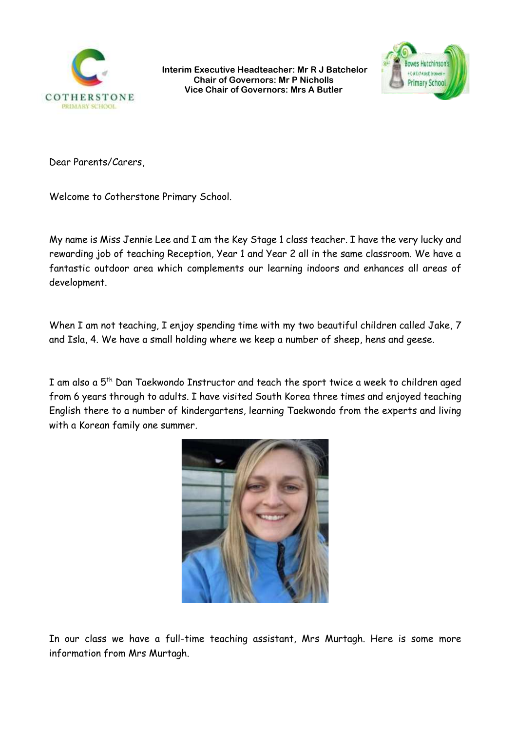

**Interim Executive Headteacher: Mr R J Batchelor Chair of Governors: Mr P Nicholls Vice Chair of Governors: Mrs A Butler**



Dear Parents/Carers,

Welcome to Cotherstone Primary School.

My name is Miss Jennie Lee and I am the Key Stage 1 class teacher. I have the very lucky and rewarding job of teaching Reception, Year 1 and Year 2 all in the same classroom. We have a fantastic outdoor area which complements our learning indoors and enhances all areas of development.

When I am not teaching, I enjoy spending time with my two beautiful children called Jake, 7 and Isla, 4. We have a small holding where we keep a number of sheep, hens and geese.

I am also a 5<sup>th</sup> Dan Taekwondo Instructor and teach the sport twice a week to children aged from 6 years through to adults. I have visited South Korea three times and enjoyed teaching English there to a number of kindergartens, learning Taekwondo from the experts and living with a Korean family one summer.



In our class we have a full-time teaching assistant, Mrs Murtagh. Here is some more information from Mrs Murtagh.